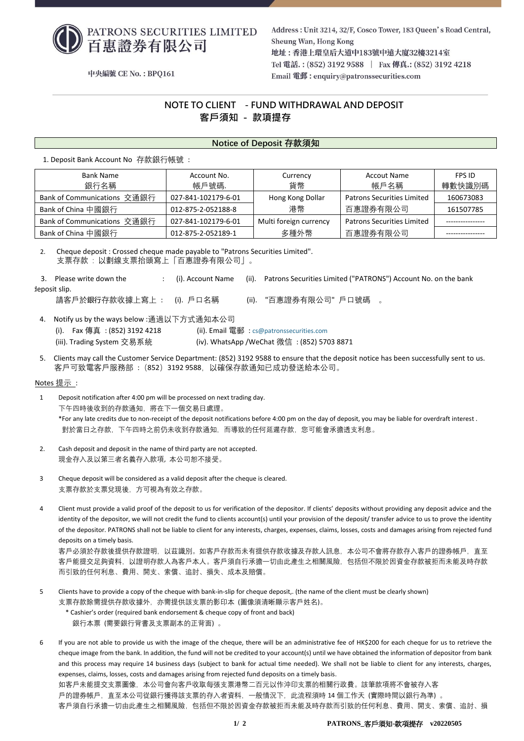

Address: Unit 3214, 32/F, Cosco Tower, 183 Oueen's Road Central, Sheung Wan, Hong Kong 地址:香港上環皇后大道中183號中遠大廈32樓3214室 Tel 電話.: (852) 3192 9588 | Fax 傳真.: (852) 3192 4218 Email 電郵: enquiry@patronssecurities.com

中央編號 CE No.: BPO161

# **NOTE TO CLIENT - FUND WITHDRAWAL AND DEPOSIT 客戶須知 - 款項提存**

## **Notice of Deposit 存款須知**

1. Deposit Bank Account No 存款銀行帳號 :

| <b>Bank Name</b>            | Account No.         | Currency               | <b>Accout Name</b>                | FPS ID    |
|-----------------------------|---------------------|------------------------|-----------------------------------|-----------|
| 銀行名稱                        | 帳戶號碼.               | 貨幣                     | 帳戶名稱                              | 轉數快識別碼    |
| Bank of Communications 交通銀行 | 027-841-102179-6-01 | Hong Kong Dollar       | <b>Patrons Securities Limited</b> | 160673083 |
| Bank of China 中國銀行          | 012-875-2-052188-8  | 港幣                     | 百惠證券有限公司                          | 161507785 |
| Bank of Communications 交通銀行 | 027-841-102179-6-01 | Multi foreign currency | <b>Patrons Securities Limited</b> |           |
| Bank of China 中國銀行          | 012-875-2-052189-1  | 多種外幣                   | 百惠證券有限公司                          |           |

2. Cheque deposit : Crossed cheque made payable to "Patrons Securities Limited". 支票存款 : 以劃線支票抬頭寫上「百惠證券有限公司」。

3. Please write down the : (i). Account Name (ii). Patrons Securities Limited ("PATRONS") Account No. on the bank deposit slip. 請客戶於銀行存款收據上寫上 : (i). 戶口名稱 (ii). "百惠證券有限公司" 戶口號碼 。

4. Notify us by the ways below :通過以下方式通知本公司

(iii). Trading System 交易系統 (iv). WhatsApp /WeChat 微信: (852) 5703 8871

(i). Fax 傳真 : (852) 3192 4218 (ii). Email 電郵 : [cs@patronssecurities.com](mailto:cs@patronssecurities.com)

5. Clients may call the Customer Service Department: (852) 3192 9588 to ensure that the deposit notice has been successfully sent to us. 客戶可致電客戶服務部 :(852)3192 9588,以確保存款通知已成功發送給本公司。

#### Notes 提示 :

1 Deposit notification after 4:00 pm will be processed on next trading day. 下午四時後收到的存款通知,將在下一個交易日處理。 \*For any late credits due to non-receipt of the deposit notifications before 4:00 pm on the day of deposit, you may be liable for overdraft interest . 對於當日之存款,下午四時之前仍未收到存款通知,而導致的任何延遲存款,您可能會承擔透支利息。

- 2. Cash deposit and deposit in the name of third party are not accepted. 現金存入及以第三者名義存入款項, 本公司恕不接受。
- 3 Cheque deposit will be considered as a valid deposit after the cheque is cleared. 支票存款於支票兌現後,方可視為有效之存款。
- 4 Client must provide a valid proof of the deposit to us for verification of the depositor. If clients' deposits without providing any deposit advice and the identity of the depositor, we will not credit the fund to clients account(s) until your provision of the deposit/ transfer advice to us to prove the identity of the depositor. PATRONS shall not be liable to client for any interests, charges, expenses, claims, losses, costs and damages arising from rejected fund deposits on a timely basis.

客戶必須於存款後提供存款證明,以茲識別。如客戶存款而未有提供存款收據及存款人訊息,本公司不會將存款存入客戶的證券帳戶,直至 客戶能提交足夠資料,以證明存款人為客戶本人。客戶須自行承擔一切由此產生之相關風險,包括但不限於因資金存款被拒而未能及時存款 而引致的任何利息、費用、開支、索償、追討、損失、成本及賠償。

- 5 Clients have to provide a copy of the cheque with bank-in-slip for cheque deposit,. (the name of the client must be clearly shown) 支票存款除需提供存款收據外,亦需提供該支票的影印本(圖像須清晰顯示客戶姓名)。
	- \* Cashier's order (required bank endorsement & cheque copy of front and back) 銀行本票 (需要銀行背書及支票副本的正背面) 。
- 6 If you are not able to provide us with the image of the cheque, there will be an administrative fee of HK\$200 for each cheque for us to retrieve the cheque image from the bank. In addition, the fund will not be credited to your account(s) until we have obtained the information of depositor from bank and this process may require 14 business days (subject to bank for actual time needed). We shall not be liable to client for any interests, charges, expenses, claims, losses, costs and damages arising from rejected fund deposits on a timely basis. 如客戶未能提交支票圖像,本公司會向客戶收取每張支票港幣二百元以作沖印支票的相關行政費。該筆款項將不會被存入客 戶的證券帳戶,直至本公司從銀行獲得該支票的存入者資料,一般情況下,此流程須時 14 個工作天 (實際時間以銀行為準) 。 客戶須自行承擔一切由此產生之相關風險,包括但不限於因資金存款被拒而未能及時存款而引致的任何利息、費用、開支、索償、追討、損